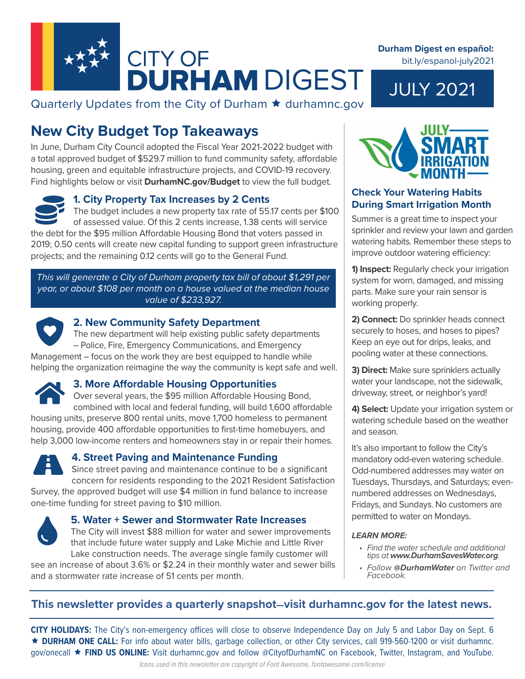

Quarterly Updates from the City of Durham  $\star$  durhamnc.gov

# **New City Budget Top Takeaways**

In June, Durham City Council adopted the Fiscal Year 2021-2022 budget with a total approved budget of \$529.7 million to fund community safety, affordable housing, green and equitable infrastructure projects, and COVID-19 recovery. Find highlights below or visit **DurhamNC.gov/Budget** to view the full budget.

### **1. City Property Tax Increases by 2 Cents**

The budget includes a new property tax rate of 55.17 cents per \$100 of assessed value. Of this 2 cents increase, 1.38 cents will service the debt for the \$95 million Affordable Housing Bond that voters passed in 2019; 0.50 cents will create new capital funding to support green infrastructure projects; and the remaining 0.12 cents will go to the General Fund.

*This will generate a City of Durham property tax bill of about \$1,291 per year, or about \$108 per month on a house valued at the median house value of \$233,927.* 



#### **2. New Community Safety Department**

The new department will help existing public safety departments – Police, Fire, Emergency Communications, and Emergency Management – focus on the work they are best equipped to handle while

helping the organization reimagine the way the community is kept safe and well.



# **3. More Affordable Housing Opportunities**

Over several years, the \$95 million Affordable Housing Bond, combined with local and federal funding, will build 1,600 affordable housing units, preserve 800 rental units, move 1,700 homeless to permanent housing, provide 400 affordable opportunities to first-time homebuyers, and help 3,000 low-income renters and homeowners stay in or repair their homes.



# **4. Street Paving and Maintenance Funding**

Since street paving and maintenance continue to be a significant concern for residents responding to the 2021 Resident Satisfaction Survey, the approved budget will use \$4 million in fund balance to increase one-time funding for street paving to \$10 million.



#### **5. Water + Sewer and Stormwater Rate Increases**

The City will invest \$88 million for water and sewer improvements that include future water supply and Lake Michie and Little River Lake construction needs. The average single family customer will

see an increase of about 3.6% or \$2.24 in their monthly water and sewer bills and a stormwater rate increase of 51 cents per month.



JULY 2021

**Durham Digest en español:** 

bit.ly/espanol-july2021



# **Check Your Watering Habits During Smart Irrigation Month**

Summer is a great time to inspect your sprinkler and review your lawn and garden watering habits. Remember these steps to improve outdoor watering efficiency:

**1) Inspect:** Regularly check your irrigation system for worn, damaged, and missing parts. Make sure your rain sensor is working properly.

**2) Connect:** Do sprinkler heads connect securely to hoses, and hoses to pipes? Keep an eye out for drips, leaks, and pooling water at these connections.

**3) Direct:** Make sure sprinklers actually water your landscape, not the sidewalk, driveway, street, or neighbor's yard!

**4) Select:** Update your irrigation system or watering schedule based on the weather and season.

It's also important to follow the City's mandatory odd-even watering schedule. Odd-numbered addresses may water on Tuesdays, Thursdays, and Saturdays; evennumbered addresses on Wednesdays, Fridays, and Sundays. No customers are permitted to water on Mondays.

#### *LEARN MORE:*

- *• Find the water schedule and additional tips at www.DurhamSavesWater.org.*
- *• Follow @DurhamWater on Twitter and Facebook.*

# **This newsletter provides a quarterly snapshot—visit durhamnc.gov for the latest news.**

**CITY HOLIDAYS:** The City's non-emergency offices will close to observe Independence Day on July 5 and Labor Day on Sept. 6 **DURHAM ONE CALL:** For info about water bills, garbage collection, or other City services, call 919-560-1200 or visit durhamnc. gov/onecall **FIND US ONLINE:** Visit durhamnc.gov and follow @CityofDurhamNC on Facebook, Twitter, Instagram, and YouTube.